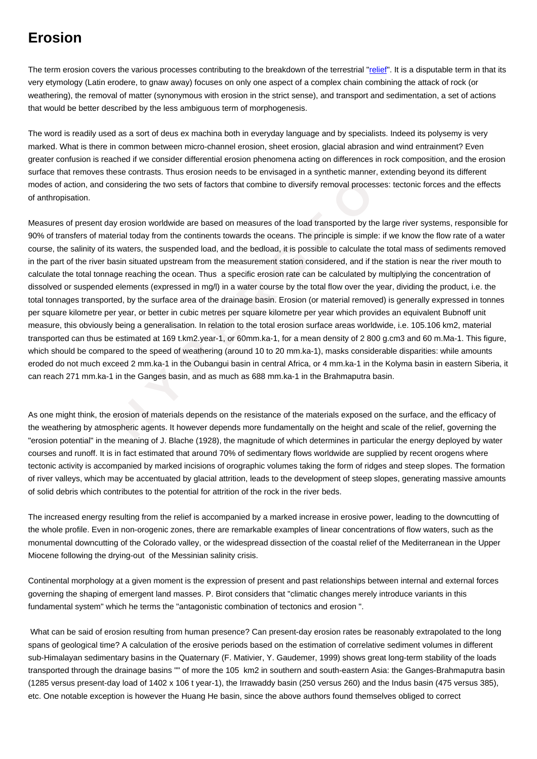The term erosion covers the various processes contributing to the breakdown of the terrestrial "relief". It is a disputable term in that its very etymology (Latin erodere, to gnaw away) focuses on only one aspect of a complex chain combining the attack of rock (or weathering), the removal of matter (synonymous with erosion in the strict sense), and transport and sedimentation, a set of actions that would be better described by the less ambiguous term of morphogenesis.

The word is readily used as a sort of deus ex machina both in everyday language and by specialists. Indeed its polysemy is very marked. What is there in common between micro-channel erosion, sheet erosion, glacial abrasion and wind entrainment? Even greater confusion is reached if we consider differential erosion phenomena acting on differences in rock composition, and the erosion surface that removes these contrasts. Thus erosion needs to be envisaged in a synthetic manner, extending beyond its different modes of action, and considering the two sets of factors that combine to diversify removal processes: tectonic forces and the effects of anthropisation.

and considering the two sets of factors that combine to diversify removal processes<br>
From the of material today from the continents towards the oceans. The principle is simple: if<br>
for fraterial today from the continents t Measures of present day erosion worldwide are based on measures of the load transported by the large river systems, responsible for 90% of transfers of material today from the continents towards the oceans. The principle is simple: if we know the flow rate of a water course, the salinity of its waters, the suspended load, and the bedload, it is possible to calculate the total mass of sediments removed in the part of the river basin situated upstream from the measurement station considered, and if the station is near the river mouth to calculate the total tonnage reaching the ocean. Thus a specific erosion rate can be calculated by multiplying the concentration of dissolved or suspended elements (expressed in mg/l) in a water course by the total flow over the year, dividing the product, i.e. the total tonnages transported, by the surface area of the drainage basin. Erosion (or material removed) is generally expressed in tonnes per square kilometre per year, or better in cubic metres per square kilometre per year which provides an equivalent Bubnoff unit measure, this obviously being a generalisation. In relation to the total erosion surface areas worldwide, i.e. 105.106 km2, material transported can thus be estimated at 169 t.km2.year-1, or 60mm.ka-1, for a mean density of 2 800 g.cm3 and 60 m.Ma-1. This figure, which should be compared to the speed of weathering (around 10 to 20 mm.ka-1), masks considerable disparities: while amounts eroded do not much exceed 2 mm.ka-1 in the Oubangui basin in central Africa, or 4 mm.ka-1 in the Kolyma basin in eastern Siberia, it can reach 271 mm.ka-1 in the Ganges basin, and as much as 688 mm.ka-1 in the Brahmaputra basin.

As one might think, the erosion of materials depends on the resistance of the materials exposed on the surface, and the efficacy of the weathering by atmospheric agents. It however depends more fundamentally on the height and scale of the relief, governing the "erosion potential" in the meaning of J. Blache (1928), the magnitude of which determines in particular the energy deployed by water courses and runoff. It is in fact estimated that around 70% of sedimentary flows worldwide are supplied by recent orogens where tectonic activity is accompanied by marked incisions of orographic volumes taking the form of ridges and steep slopes. The formation of river valleys, which may be accentuated by glacial attrition, leads to the development of steep slopes, generating massive amounts of solid debris which contributes to the potential for attrition of the rock in the river beds.

The increased energy resulting from the relief is accompanied by a marked increase in erosive power, leading to the downcutting of the whole profile. Even in non-orogenic zones, there are remarkable examples of linear concentrations of flow waters, such as the monumental downcutting of the Colorado valley, or the widespread dissection of the coastal relief of the Mediterranean in the Upper Miocene following the drying-out of the Messinian salinity crisis.

Continental morphology at a given moment is the expression of present and past relationships between internal and external forces governing the shaping of emergent land masses. P. Birot considers that "climatic changes merely introduce variants in this fundamental system" which he terms the "antagonistic combination of tectonics and erosion ".

 What can be said of erosion resulting from human presence? Can present-day erosion rates be reasonably extrapolated to the long spans of geological time? A calculation of the erosive periods based on the estimation of correlative sediment volumes in different sub-Himalayan sedimentary basins in the Quaternary (F. Mativier, Y. Gaudemer, 1999) shows great long-term stability of the loads transported through the drainage basins "" of more the 105 km2 in southern and south-eastern Asia: the Ganges-Brahmaputra basin (1285 versus present-day load of 1402 x 106 t year-1), the Irrawaddy basin (250 versus 260) and the Indus basin (475 versus 385), etc. One notable exception is however the Huang He basin, since the above authors found themselves obliged to correct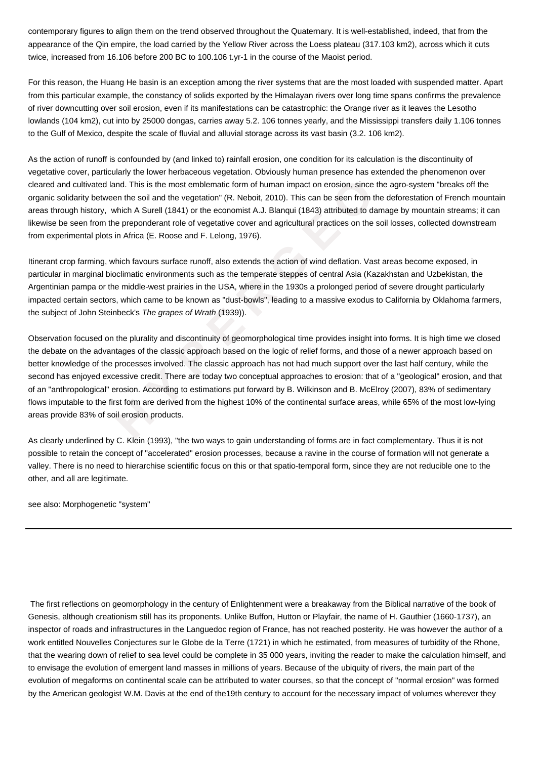contemporary figures to align them on the trend observed throughout the Quaternary. It is well-established, indeed, that from the appearance of the Qin empire, the load carried by the Yellow River across the Loess plateau (317.103 km2), across which it cuts twice, increased from 16.106 before 200 BC to 100.106 t.yr-1 in the course of the Maoist period.

For this reason, the Huang He basin is an exception among the river systems that are the most loaded with suspended matter. Apart from this particular example, the constancy of solids exported by the Himalayan rivers over long time spans confirms the prevalence of river downcutting over soil erosion, even if its manifestations can be catastrophic: the Orange river as it leaves the Lesotho lowlands (104 km2), cut into by 25000 dongas, carries away 5.2. 106 tonnes yearly, and the Mississippi transfers daily 1.106 tonnes to the Gulf of Mexico, despite the scale of fluvial and alluvial storage across its vast basin (3.2. 106 km2).

As the action of runoff is confounded by (and linked to) rainfall erosion, one condition for its calculation is the discontinuity of vegetative cover, particularly the lower herbaceous vegetation. Obviously human presence has extended the phenomenon over cleared and cultivated land. This is the most emblematic form of human impact on erosion, since the agro-system "breaks off the organic solidarity between the soil and the vegetation" (R. Neboit, 2010). This can be seen from the deforestation of French mountain areas through history, which A Surell (1841) or the economist A.J. Blanqui (1843) attributed to damage by mountain streams; it can likewise be seen from the preponderant role of vegetative cover and agricultural practices on the soil losses, collected downstream from experimental plots in Africa (E. Roose and F. Lelong, 1976).

Itinerant crop farming, which favours surface runoff, also extends the action of wind deflation. Vast areas become exposed, in particular in marginal bioclimatic environments such as the temperate steppes of central Asia (Kazakhstan and Uzbekistan, the Argentinian pampa or the middle-west prairies in the USA, where in the 1930s a prolonged period of severe drought particularly impacted certain sectors, which came to be known as "dust-bowls", leading to a massive exodus to California by Oklahoma farmers, the subject of John Steinbeck's The grapes of Wrath (1939)).

rated land. This is the most emblematic form of human impact on erosion, since the between the soil and the vegetation" (R. Neboit, 2010). This can be seen from the rettory, which A Surell (1841) or the conomist A.J. Blanq Observation focused on the plurality and discontinuity of geomorphological time provides insight into forms. It is high time we closed the debate on the advantages of the classic approach based on the logic of relief forms, and those of a newer approach based on better knowledge of the processes involved. The classic approach has not had much support over the last half century, while the second has enjoyed excessive credit. There are today two conceptual approaches to erosion: that of a "geological" erosion, and that of an "anthropological" erosion. According to estimations put forward by B. Wilkinson and B. McElroy (2007), 83% of sedimentary flows imputable to the first form are derived from the highest 10% of the continental surface areas, while 65% of the most low-lying areas provide 83% of soil erosion products.

As clearly underlined by C. Klein (1993), "the two ways to gain understanding of forms are in fact complementary. Thus it is not possible to retain the concept of "accelerated" erosion processes, because a ravine in the course of formation will not generate a valley. There is no need to hierarchise scientific focus on this or that spatio-temporal form, since they are not reducible one to the other, and all are legitimate.

see also: Morphogenetic "system "

 The first reflections on geomorphology in the century of Enlightenment were a breakaway from the Biblical narrative of the book of Genesis, although creationism still has its proponents. Unlike Buffon, Hutton or Playfair, the name of H. Gauthier (1660-1737), an inspector of roads and infrastructures in the Languedoc region of France, has not reached posterity. He was however the author of a work entitled Nouvelles Conjectures sur le Globe de la Terre (1721) in which he estimated, from measures of turbidity of the Rhone, that the wearing down of relief to sea level could be complete in 35 000 years, inviting the reader to make the calculation himself, and to envisage the evolution of emergent land masses in millions of years. Because of the ubiquity of rivers, the main part of the evolution of megaforms on continental scale can be attributed to water courses, so that the concept of "normal erosion" was formed by the American geologist W.M. Davis at the end of the19th century to account for the necessary impact of volumes wherever they